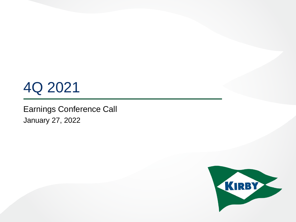# 4Q 2021

Earnings Conference Call January 27, 2022

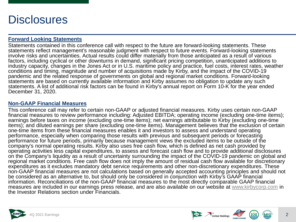## **Disclosures**

#### **Forward Looking Statements**

Statements contained in this conference call with respect to the future are forward-looking statements. These statements reflect management's reasonable judgment with respect to future events. Forward-looking statements involve risks and uncertainties. Actual results could differ materially from those anticipated as a result of various factors, including cyclical or other downturns in demand, significant pricing competition, unanticipated additions to industry capacity, changes in the Jones Act or in U.S. maritime policy and practice, fuel costs, interest rates, weather conditions and timing, magnitude and number of acquisitions made by Kirby, and the impact of the COVID-19 pandemic and the related response of governments on global and regional market conditions. Forward-looking statements are based on currently available information and Kirby assumes no obligation to update any such statements. A list of additional risk factors can be found in Kirby's annual report on Form 10-K for the year ended December 31, 2020.

#### **Non-GAAP Financial Measures**

This conference call may refer to certain non-GAAP or adjusted financial measures. Kirby uses certain non-GAAP financial measures to review performance including: Adjusted EBITDA; operating income (excluding one-time items); earnings before taxes on income (excluding one-time items); net earnings attributable to Kirby (excluding one-time items); and diluted earnings per share (excluding one-time items). Management believes that the exclusion of certain one-time items from these financial measures enables it and investors to assess and understand operating performance, especially when comparing those results with previous and subsequent periods or forecasting performance for future periods, primarily because management views the excluded items to be outside of the company's normal operating results. Kirby also uses free cash flow, which is defined as net cash provided by operating activities less capital expenditures, to assess and forecast cash flow and to provide additional disclosures on the Company's liquidity as a result of uncertainty surrounding the impact of the COVID-19 pandemic on global and regional market conditions. Free cash flow does not imply the amount of residual cash flow available for discretionary expenditures as it excludes mandatory debt service requirements and other non-discretionary expenditures. These non-GAAP financial measures are not calculations based on generally accepted accounting principles and should not be considered as an alternative to, but should only be considered in conjunction with Kirby's GAAP financial information. Reconciliations of the non-GAAP financial measures to the most directly comparable GAAP financial measures are included in our earnings press release, and are also available on our website at [www.kirbycorp.com](http://www.kirbycorp.com/) in the Investor Relations section under Financials.



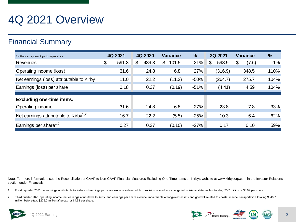## 4Q 2021 Overview

### Financial Summary

| \$ millions except earnings (loss) per share      | 4Q 2021     | 4Q 2020     | <b>Variance</b> | $\frac{1}{2}$ | 3Q 2021     | <b>Variance</b> | %     |
|---------------------------------------------------|-------------|-------------|-----------------|---------------|-------------|-----------------|-------|
| Revenues                                          | \$<br>591.3 | \$<br>489.8 | \$<br>101.5     | 21%           | \$<br>598.9 | \$<br>(7.6)     | $-1%$ |
| Operating income (loss)                           | 31.6        | 24.8        | 6.8             | 27%           | (316.9)     | 348.5           | 110%  |
| Net earnings (loss) attributable to Kirby         | 11.0        | 22.2        | (11.2)          | $-50%$        | (264.7)     | 275.7           | 104%  |
| Earnings (loss) per share                         | 0.18        | 0.37        | (0.19)          | $-51%$        | (4.41)      | 4.59            | 104%  |
|                                                   |             |             |                 |               |             |                 |       |
| <b>Excluding one-time items:</b>                  |             |             |                 |               |             |                 |       |
| Operating income <sup>2</sup>                     | 31.6        | 24.8        | 6.8             | 27%           | 23.8        | 7.8             | 33%   |
| Net earnings attributable to Kirby <sup>1,2</sup> | 16.7        | 22.2        | (5.5)           | $-25%$        | 10.3        | 6.4             | 62%   |
| Earnings per share <sup>1,2</sup>                 | 0.27        | 0.37        | (0.10)          | $-27%$        | 0.17        | 0.10            | 59%   |

Note: For more information, see the Reconciliation of GAAP to Non-GAAP Financial Measures Excluding One-Time Items on Kirby's website at www.kirbycorp.com in the Investor Relations section under Financials.

1 Fourth quarter 2021 net earnings attributable to Kirby and earnings per share exclude a deferred tax provision related to a change in Louisiana state tax law totaling \$5.7 million or \$0.09 per share.

2 Third quarter 2021 operating income, net earnings attributable to Kirby, and earnings per share exclude impairments of long-lived assets and goodwill related to coastal marine transportation totaling \$340.7 million before-tax, \$275.0 million after-tax, or \$4.58 per share.

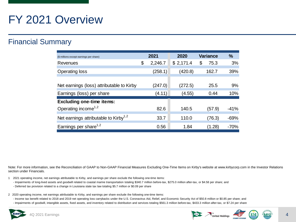## FY 2021 Overview

### Financial Summary

| (\$ millions except earnings per share)           | 2021          | 2020      | <b>Variance</b> | $\frac{9}{6}$ |
|---------------------------------------------------|---------------|-----------|-----------------|---------------|
| Revenues                                          | \$<br>2,246.7 | \$2,171.4 | \$<br>75.3      | 3%            |
| <b>Operating loss</b>                             | (258.1)       | (420.8)   | 162.7           | 39%           |
|                                                   |               |           |                 |               |
| Net earnings (loss) attributable to Kirby         | (247.0)       | (272.5)   | 25.5            | 9%            |
| Earnings (loss) per share                         | (4.11)        | (4.55)    | 0.44            | 10%           |
| <b>Excluding one-time items:</b>                  |               |           |                 |               |
| Operating income <sup>1,2</sup>                   | 82.6          | 140.5     | (57.9)          | $-41%$        |
| Net earnings attributable to Kirby <sup>1,2</sup> | 33.7          | 110.0     | (76.3)          | $-69%$        |
| Earnings per share <sup>1,2</sup>                 | 0.56          | 1.84      | (1.28)          | $-70%$        |

Note: For more information, see the Reconciliation of GAAP to Non-GAAP Financial Measures Excluding One-Time Items on Kirby's website at www.kirbycorp.com in the Investor Relations section under Financials.

- 1 2021 operating income, net earnings attributable to Kirby, and earnings per share exclude the following one-time items:
	- Impairments of long-lived assets and goodwill related to coastal marine transportation totaling \$340.7 million before-tax, \$275.0 million after-tax, or \$4.58 per share; and
	- Deferred tax provision related to a change in Louisiana state tax law totaling \$5.7 million or \$0.09 per share
- 2 2020 operating income, net earnings attributable to Kirby, and earnings per share exclude the following one-time items:
	- Income tax benefit related to 2018 and 2019 net operating loss carrybacks under the U.S. Coronavirus Aid, Relief, and Economic Security Act of \$50.8 million or \$0.85 per share; and
- Impairments of goodwill, intangible assets, fixed assets, and inventory related to distribution and services totaling \$561.3 million before-tax, \$433.3 million after-tax, or \$7.24 per share

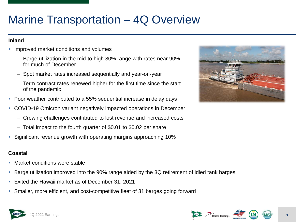## Marine Transportation – 4Q Overview

#### **Inland**

- Improved market conditions and volumes
	- Barge utilization in the mid-to high 80% range with rates near 90% for much of December
	- Spot market rates increased sequentially and year-on-year
	- Term contract rates renewed higher for the first time since the start of the pandemic
- Poor weather contributed to a 55% sequential increase in delay days
- COVID-19 Omicron variant negatively impacted operations in December
	- Crewing challenges contributed to lost revenue and increased costs
	- Total impact to the fourth quarter of \$0.01 to \$0.02 per share
- Significant revenue growth with operating margins approaching 10%

#### **Coastal**

- Market conditions were stable
- Barge utilization improved into the 90% range aided by the 3Q retirement of idled tank barges
- Exited the Hawaii market as of December 31, 2021
- Smaller, more efficient, and cost-competitive fleet of 31 barges going forward





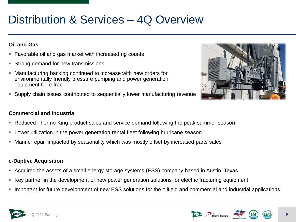## Distribution & Services – 4Q Overview

#### **Oil and Gas**

- Favorable oil and gas market with increased rig counts
- **Strong demand for new transmissions**
- Manufacturing backlog continued to increase with new orders for environmentally friendly pressure pumping and power generation equipment for e-frac
- Supply chain issues contributed to sequentially lower manufacturing revenue

#### **Commercial and Industrial**

- Reduced Thermo King product sales and service demand following the peak summer season
- Lower utilization in the power generation rental fleet following hurricane season
- Marine repair impacted by seasonality which was mostly offset by increased parts sales

#### **e-Daptive Acquisition**

- Acquired the assets of a small energy storage systems (ESS) company based in Austin, Texas
- Key partner in the development of new power generation solutions for electric fracturing equipment
- Important for future development of new ESS solutions for the oilfield and commercial and industrial applications





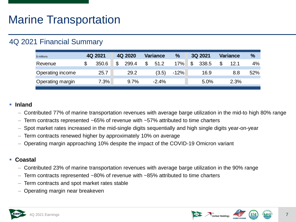### 4Q 2021 Financial Summary

| \$ millions      | 4Q 2021 | 4Q 2020     | Variance | $\%$   | 3Q 2021     | Variance   | $\frac{9}{6}$ |
|------------------|---------|-------------|----------|--------|-------------|------------|---------------|
| Revenue          | 350.6   | \$<br>299.4 | 51.2     | 17%    | \$<br>338.5 | \$<br>12.1 | 4%            |
| Operating income | 25.7    | 29.2        | (3.5)    | $-12%$ | 16.9        | 8.8        | 52%           |
| Operating margin | 7.3%    | 9.7%        | $-2.4%$  |        | 5.0%        | 2.3%       |               |

#### **Inland**

– Contributed 77% of marine transportation revenues with average barge utilization in the mid-to high 80% range

- Term contracts represented  $\sim 65\%$  of revenue with  $\sim 57\%$  attributed to time charters
- Spot market rates increased in the mid-single digits sequentially and high single digits year-on-year
- Term contracts renewed higher by approximately 10% on average
- Operating margin approaching 10% despite the impact of the COVID-19 Omicron variant

#### **Coastal**

- Contributed 23% of marine transportation revenues with average barge utilization in the 90% range
- Term contracts represented  $~80\%$  of revenue with  $~85\%$  attributed to time charters
- Term contracts and spot market rates stable
- Operating margin near breakeven





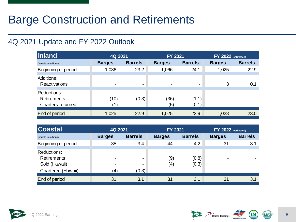## Barge Construction and Retirements

### 4Q 2021 Update and FY 2022 Outlook

| Inland                                                        | 4Q 2021       |                | <b>FY 2021</b> |                | FY 2022 (estimated) |                |  |
|---------------------------------------------------------------|---------------|----------------|----------------|----------------|---------------------|----------------|--|
| (barrels in millions)                                         | <b>Barges</b> | <b>Barrels</b> | <b>Barges</b>  | <b>Barrels</b> | <b>Barges</b>       | <b>Barrels</b> |  |
| Beginning of period                                           | 1,036         | 23.2           | 1,066          | 24.1           | 1,025               | 22.9           |  |
| Additions:<br><b>Reactivations</b>                            | ۰             | ۰              | ۰              | ۰              | 3                   | 0.1            |  |
| Reductions:<br><b>Retirements</b><br><b>Charters returned</b> | (10)          | (0.3)          | (36)<br>(5)    | (1.1)<br>(0.1) | ۰<br>۰              |                |  |
| End of period                                                 | 1,025         | 22.9           | 1,025          | 22.9           | 1,028               | 23.0           |  |

| <b>Coastal</b>                                     | 4Q 2021       |                | <b>FY 2021</b> |                | $FY$ 2022 (estimated) |                |  |
|----------------------------------------------------|---------------|----------------|----------------|----------------|-----------------------|----------------|--|
| (barrels in millions)                              | <b>Barges</b> | <b>Barrels</b> | <b>Barges</b>  | <b>Barrels</b> | <b>Barges</b>         | <b>Barrels</b> |  |
| Beginning of period                                | 35            | 3.4            | 44             | 4.2            | 31                    | 3.1            |  |
| Reductions:<br><b>Retirements</b><br>Sold (Hawaii) | $\sim$<br>۰   |                | (9)<br>(4)     | (0.8)<br>(0.3) |                       |                |  |
| Chartered (Hawaii)                                 | $\bf(4)$      | (0.3)          | $\blacksquare$ | ۰              | ۰                     | $\blacksquare$ |  |
| End of period                                      | 31            | 3.1            | 31             | 3.1            | 31                    | 3.1            |  |

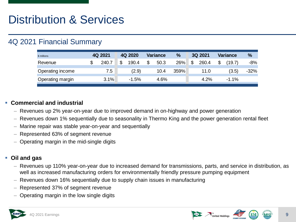### 4Q 2021 Financial Summary

| \$ millions      | 4Q 2021     | 4Q 2020     | <b>Variance</b> | $\%$ | 3Q 2021     | <b>Variance</b> | $\frac{0}{2}$ |
|------------------|-------------|-------------|-----------------|------|-------------|-----------------|---------------|
| Revenue          | \$<br>240.7 | \$<br>190.4 | \$<br>50.3      | 26%  | \$<br>260.4 | \$<br>(19.7)    | $-8%$         |
| Operating income | 7.5         | (2.9)       | 10.4            | 359% | 11.0        | (3.5)           | $-32%$        |
| Operating margin | 3.1%        | $-1.5%$     | 4.6%            |      | 4.2%        | $-1.1%$         |               |

#### **Commercial and industrial**

- Revenues up 2% year-on-year due to improved demand in on-highway and power generation
- Revenues down 1% sequentially due to seasonality in Thermo King and the power generation rental fleet
- Marine repair was stable year-on-year and sequentially
- Represented 63% of segment revenue
- Operating margin in the mid-single digits

#### **Oil and gas**

- Revenues up 110% year-on-year due to increased demand for transmissions, parts, and service in distribution, as well as increased manufacturing orders for environmentally friendly pressure pumping equipment
- Revenues down 16% sequentially due to supply chain issues in manufacturing
- Represented 37% of segment revenue
- Operating margin in the low single digits





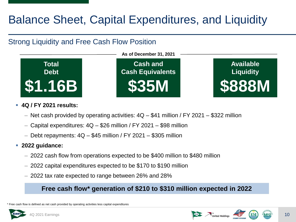## Balance Sheet, Capital Expenditures, and Liquidity

### Strong Liquidity and Free Cash Flow Position



#### **4Q / FY 2021 results:**

- Net cash provided by operating activities: 4Q \$41 million / FY 2021 \$322 million
- Capital expenditures:  $4Q $26$  million / FY 2021 \$98 million
- $-$  Debt repayments:  $4Q $45$  million / FY 2021 \$305 million
- **2022 guidance:**
	- 2022 cash flow from operations expected to be \$400 million to \$480 million
	- 2022 capital expenditures expected to be \$170 to \$190 million
	- 2022 tax rate expected to range between 26% and 28%

### **Free cash flow\* generation of \$210 to \$310 million expected in 2022**

\* Free cash flow is defined as net cash provided by operating activities less capital expenditures





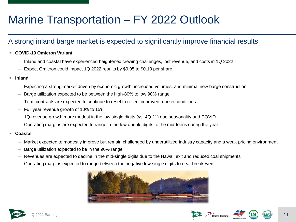## Marine Transportation – FY 2022 Outlook

### A strong inland barge market is expected to significantly improve financial results

- **COVID-19 Omicron Variant**
	- Inland and coastal have experienced heightened crewing challenges, lost revenue, and costs in 1Q 2022
	- Expect Omicron could impact 1Q 2022 results by \$0.05 to \$0.10 per share
- **Inland**
	- Expecting a strong market driven by economic growth, increased volumes, and minimal new barge construction
	- Barge utilization expected to be between the high-80% to low 90% range
	- Term contracts are expected to continue to reset to reflect improved market conditions
	- Full year revenue growth of 10% to 15%
	- 1Q revenue growth more modest in the low single digits (vs. 4Q 21) due seasonality and COVID
	- Operating margins are expected to range in the low double digits to the mid-teens during the year
- **Coastal**
	- Market expected to modestly improve but remain challenged by underutilized industry capacity and a weak pricing environment
	- Barge utilization expected to be in the 90% range
	- Revenues are expected to decline in the mid-single digits due to the Hawaii exit and reduced coal shipments
	- Operating margins expected to range between the negative low single digits to near breakeven







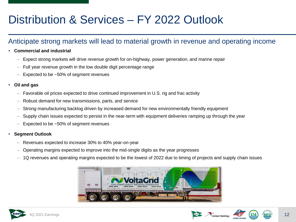## Distribution & Services – FY 2022 Outlook

### Anticipate strong markets will lead to material growth in revenue and operating income

- **Commercial and industrial**
	- Expect strong markets will drive revenue growth for on-highway, power generation, and marine repair
	- $-$  Full year revenue growth in the low double digit percentage range
	- Expected to be ~50% of segment revenues
- **Oil and gas**
	- Favorable oil prices expected to drive continued improvement in U.S. rig and frac activity
	- Robust demand for new transmissions, parts, and service
	- Strong manufacturing backlog driven by increased demand for new environmentally friendly equipment
	- Supply chain issues expected to persist in the near-term with equipment deliveries ramping up through the year
	- Expected to be  $~50\%$  of segment revenues
- **Segment Outlook**
	- Revenues expected to increase 30% to 40% year-on-year
	- Operating margins expected to improve into the mid-single digits as the year progresses
	- 1Q revenues and operating margins expected to be the lowest of 2022 due to timing of projects and supply chain issues